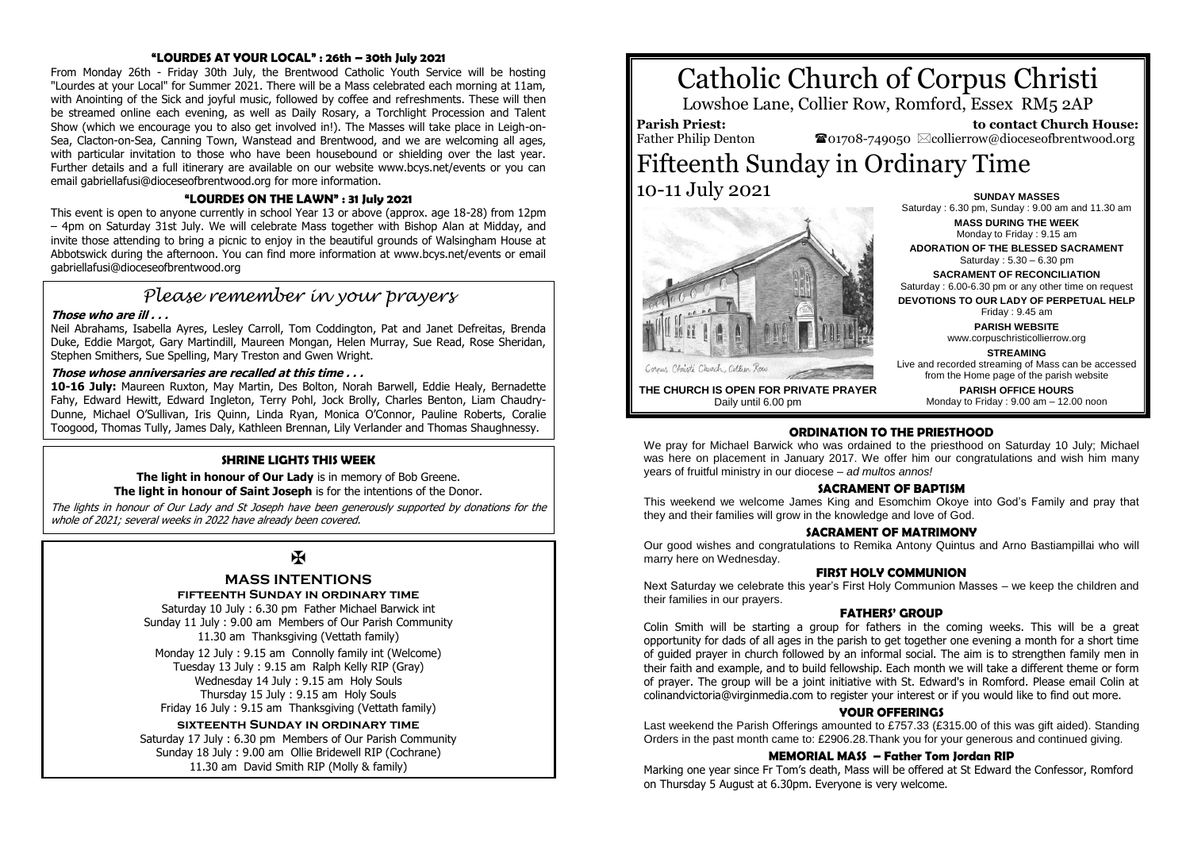#### **"LOURDES AT YOUR LOCAL" : 26th – 30th July 2021**

From Monday 26th - Friday 30th July, the Brentwood Catholic Youth Service will be hosting "Lourdes at your Local" for Summer 2021. There will be a Mass celebrated each morning at 11am, with Anointing of the Sick and joyful music, followed by coffee and refreshments. These will then be streamed online each evening, as well as Daily Rosary, a Torchlight Procession and Talent Show (which we encourage you to also get involved in!). The Masses will take place in Leigh-on-Sea, Clacton-on-Sea, Canning Town, Wanstead and Brentwood, and we are welcoming all ages, with particular invitation to those who have been housebound or shielding over the last year. Further details and a full itinerary are available on our website www.bcys.net/events or you can email gabriellafusi@dioceseofbrentwood.org for more information.

#### **"LOURDES ON THE LAWN" : 31 July 2021**

This event is open to anyone currently in school Year 13 or above (approx. age 18-28) from 12pm – 4pm on Saturday 31st July. We will celebrate Mass together with Bishop Alan at Midday, and invite those attending to bring a picnic to enjoy in the beautiful grounds of Walsingham House at Abbotswick during the afternoon. You can find more information at www.bcys.net/events or email gabriellafusi@dioceseofbrentwood.org

# *Please remember in your prayers*

#### **Those who are ill . . .**

Neil Abrahams, Isabella Ayres, Lesley Carroll, Tom Coddington, Pat and Janet Defreitas, Brenda Duke, Eddie Margot, Gary Martindill, Maureen Mongan, Helen Murray, Sue Read, Rose Sheridan, Stephen Smithers, Sue Spelling, Mary Treston and Gwen Wright.

#### **Those whose anniversaries are recalled at this time . . .**

**10-16 July:** Maureen Ruxton, May Martin, Des Bolton, Norah Barwell, Eddie Healy, Bernadette Fahy, Edward Hewitt, Edward Ingleton, Terry Pohl, Jock Brolly, Charles Benton, Liam Chaudry-Dunne, Michael O'Sullivan, Iris Quinn, Linda Ryan, Monica O'Connor, Pauline Roberts, Coralie Toogood, Thomas Tully, James Daly, Kathleen Brennan, Lily Verlander and Thomas Shaughnessy.

#### **SHRINE LIGHTS THIS WEEK**

**The light in honour of Our Lady** is in memory of Bob Greene. **The light in honour of Saint Joseph** is for the intentions of the Donor.

The lights in honour of Our Lady and St Joseph have been generously supported by donations for the whole of 2021; several weeks in 2022 have already been covered.

# $\mathbf K$

### **MASS INTENTIONS**

**fifteenth Sunday in ordinary time** Saturday 10 July : 6.30 pm Father Michael Barwick int

Sunday 11 July : 9.00 am Members of Our Parish Community 11.30 am Thanksgiving (Vettath family)

Monday 12 July : 9.15 am Connolly family int (Welcome) Tuesday 13 July : 9.15 am Ralph Kelly RIP (Gray) Wednesday 14 July : 9.15 am Holy Souls Thursday 15 July : 9.15 am Holy Souls Friday 16 July : 9.15 am Thanksgiving (Vettath family)

#### **sixteenth Sunday in ordinary time**

Saturday 17 July : 6.30 pm Members of Our Parish Community Sunday 18 July : 9.00 am Ollie Bridewell RIP (Cochrane) 11.30 am David Smith RIP (Molly & family)

# Catholic Church of Corpus Christi

Lowshoe Lane, Collier Row, Romford, Essex RM5 2AP

**Parish Priest:** Father Philip Denton

 **to contact Church House:**  $\bullet$ 01708-749050  $\boxtimes$ collierrow@dioceseofbrentwood.org

## Fifteenth Sunday in Ordinary Time 10-11 July 2021 **SUNDAY MASSES**



Saturday : 6.30 pm, Sunday : 9.00 am and 11.30 am **MASS DURING THE WEEK** Monday to Friday : 9.15 am **ADORATION OF THE BLESSED SACRAMENT** Saturday : 5.30 – 6.30 pm **SACRAMENT OF RECONCILIATION** Saturday : 6.00-6.30 pm or any other time on request **DEVOTIONS TO OUR LADY OF PERPETUAL HELP** Friday : 9.45 am **PARISH WEBSITE**

www.corpuschristicollierrow.org **STREAMING**

Live and recorded streaming of Mass can be accessed

**THE CHURCH IS OPEN FOR PRIVATE PRAYER** Daily until 6.00 pm

from the Home page of the parish website **PARISH OFFICE HOURS** Monday to Friday : 9.00 am – 12.00 noon

#### **ORDINATION TO THE PRIESTHOOD**

We pray for Michael Barwick who was ordained to the priesthood on Saturday 10 July; Michael was here on placement in January 2017. We offer him our congratulations and wish him many years of fruitful ministry in our diocese – *ad multos annos!*

#### **SACRAMENT OF BAPTISM**

This weekend we welcome James King and Esomchim Okoye into God's Family and pray that they and their families will grow in the knowledge and love of God.

#### **SACRAMENT OF MATRIMONY**

Our good wishes and congratulations to Remika Antony Quintus and Arno Bastiampillai who will marry here on Wednesday.

#### **FIRST HOLY COMMUNION**

Next Saturday we celebrate this year's First Holy Communion Masses – we keep the children and their families in our prayers.

#### **FATHERS' GROUP**

Colin Smith will be starting a group for fathers in the coming weeks. This will be a great opportunity for dads of all ages in the parish to get together one evening a month for a short time of guided prayer in church followed by an informal social. The aim is to strengthen family men in their faith and example, and to build fellowship. Each month we will take a different theme or form of prayer. The group will be a joint initiative with St. Edward's in Romford. Please email Colin at colinandvictoria@virginmedia.com to register your interest or if you would like to find out more.

#### **YOUR OFFERINGS**

Last weekend the Parish Offerings amounted to £757.33 (£315.00 of this was gift aided). Standing Orders in the past month came to: £2906.28.Thank you for your generous and continued giving.

#### **MEMORIAL MASS – Father Tom Jordan RIP**

Marking one year since Fr Tom's death, Mass will be offered at St Edward the Confessor, Romford on Thursday 5 August at 6.30pm. Everyone is very welcome.